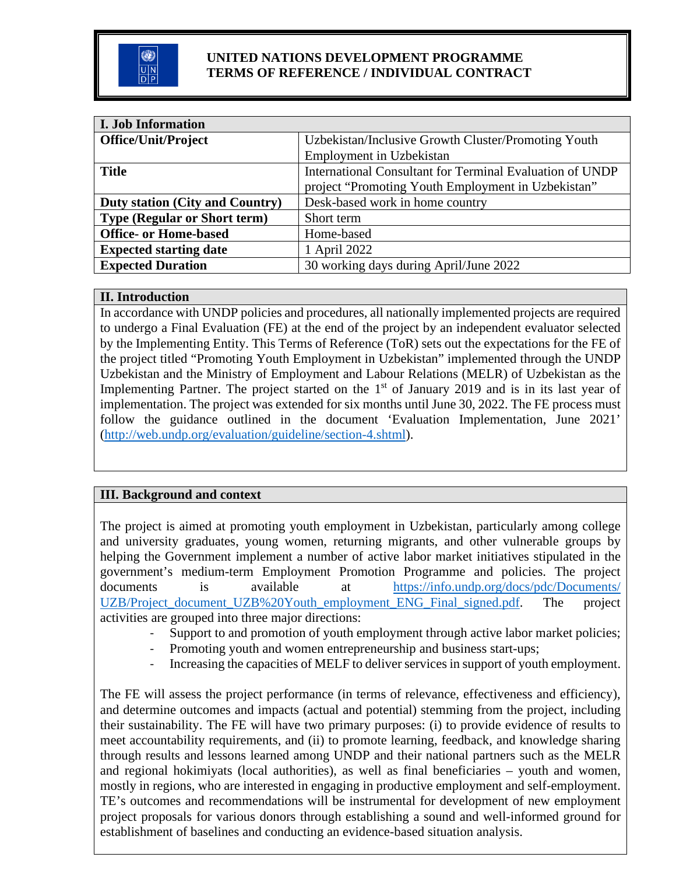

#### **UNITED NATIONS DEVELOPMENT PROGRAMME TERMS OF REFERENCE / INDIVIDUAL CONTRACT**

| <b>I. Job Information</b>              |                                                          |
|----------------------------------------|----------------------------------------------------------|
| <b>Office/Unit/Project</b>             | Uzbekistan/Inclusive Growth Cluster/Promoting Youth      |
|                                        | Employment in Uzbekistan                                 |
| <b>Title</b>                           | International Consultant for Terminal Evaluation of UNDP |
|                                        | project "Promoting Youth Employment in Uzbekistan"       |
| <b>Duty station (City and Country)</b> | Desk-based work in home country                          |
| <b>Type (Regular or Short term)</b>    | Short term                                               |
| <b>Office- or Home-based</b>           | Home-based                                               |
| <b>Expected starting date</b>          | 1 April 2022                                             |
| <b>Expected Duration</b>               | 30 working days during April/June 2022                   |

#### **II. Introduction**

In accordance with UNDP policies and procedures, all nationally implemented projects are required to undergo a Final Evaluation (FE) at the end of the project by an independent evaluator selected by the Implementing Entity. This Terms of Reference (ToR) sets out the expectations for the FE of the project titled "Promoting Youth Employment in Uzbekistan" implemented through the UNDP Uzbekistan and the Ministry of Employment and Labour Relations (MELR) of Uzbekistan as the Implementing Partner. The project started on the  $1<sup>st</sup>$  of January 2019 and is in its last year of implementation. The project was extended for six months until June 30, 2022. The FE process must follow the guidance outlined in the document 'Evaluation Implementation, June 2021' [\(http://web.undp.org/evaluation/guideline/section-4.shtml\)](http://web.undp.org/evaluation/guideline/section-4.shtml).

#### **III. Background and context**

The project is aimed at promoting youth employment in Uzbekistan, particularly among college and university graduates, young women, returning migrants, and other vulnerable groups by helping the Government implement a number of active labor market initiatives stipulated in the government's medium-term Employment Promotion Programme and policies. The project documents is available at [https://info.undp.org/docs/pdc/Documents/](https://info.undp.org/docs/pdc/Documents/UZB/Project_document_UZB%20Youth_employment_ENG_Final_signed.pdf) UZB/Project document UZB%20Youth employment ENG Final signed.pdf. The project activities are grouped into three major directions:

- Support to and promotion of youth employment through active labor market policies;
- Promoting youth and women entrepreneurship and business start-ups;
- Increasing the capacities of MELF to deliver services in support of youth employment.

The FE will assess the project performance (in terms of relevance, effectiveness and efficiency), and determine outcomes and impacts (actual and potential) stemming from the project, including their sustainability. The FE will have two primary purposes: (i) to provide evidence of results to meet accountability requirements, and (ii) to promote learning, feedback, and knowledge sharing through results and lessons learned among UNDP and their national partners such as the MELR and regional hokimiyats (local authorities), as well as final beneficiaries – youth and women, mostly in regions, who are interested in engaging in productive employment and self-employment. TE's outcomes and recommendations will be instrumental for development of new employment project proposals for various donors through establishing a sound and well-informed ground for establishment of baselines and conducting an evidence-based situation analysis.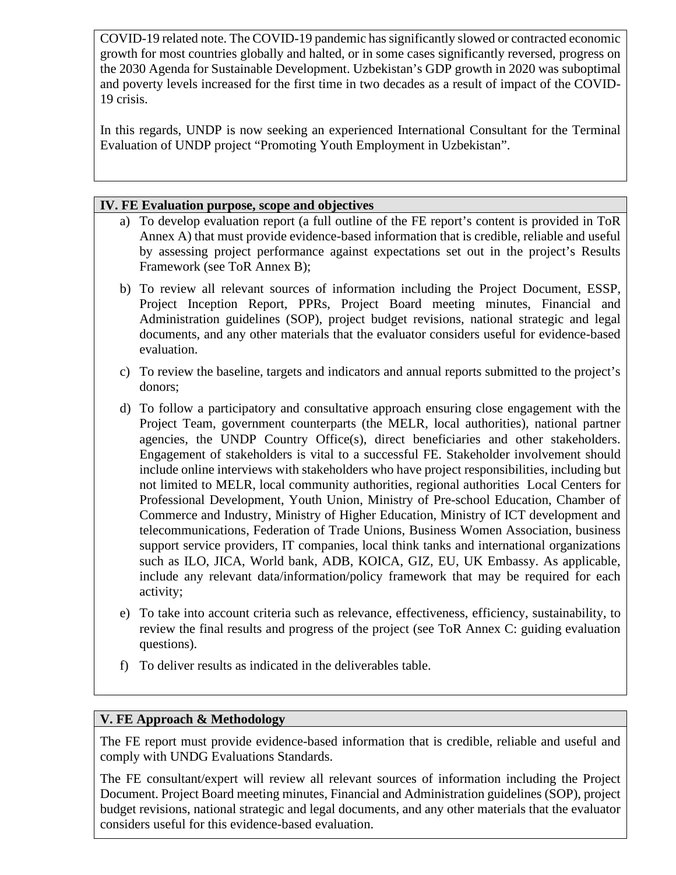COVID-19 related note. The COVID-19 pandemic has significantly slowed or contracted economic growth for most countries globally and halted, or in some cases significantly reversed, progress on the 2030 Agenda for Sustainable Development. Uzbekistan's GDP growth in 2020 was suboptimal and poverty levels increased for the first time in two decades as a result of impact of the COVID-19 crisis.

In this regards, UNDP is now seeking an experienced International Consultant for the Terminal Evaluation of UNDP project "Promoting Youth Employment in Uzbekistan".

#### **IV. FE Evaluation purpose, scope and objectives**

- a) To develop evaluation report (a full outline of the FE report's content is provided in ToR Annex A) that must provide evidence-based information that is credible, reliable and useful by assessing project performance against expectations set out in the project's Results Framework (see ToR Annex B);
- b) To review all relevant sources of information including the Project Document, ESSP, Project Inception Report, PPRs, Project Board meeting minutes, Financial and Administration guidelines (SOP), project budget revisions, national strategic and legal documents, and any other materials that the evaluator considers useful for evidence-based evaluation.
- c) To review the baseline, targets and indicators and annual reports submitted to the project's donors;
- d) To follow a participatory and consultative approach ensuring close engagement with the Project Team, government counterparts (the MELR, local authorities), national partner agencies, the UNDP Country Office(s), direct beneficiaries and other stakeholders. Engagement of stakeholders is vital to a successful FE. Stakeholder involvement should include online interviews with stakeholders who have project responsibilities, including but not limited to MELR, local community authorities, regional authorities Local Centers for Professional Development, Youth Union, Ministry of Pre-school Education, Chamber of Commerce and Industry, Ministry of Higher Education, Ministry of ICT development and telecommunications, Federation of Trade Unions, Business Women Association, business support service providers, IT companies, local think tanks and international organizations such as ILO, JICA, World bank, ADB, KOICA, GIZ, EU, UK Embassy. As applicable, include any relevant data/information/policy framework that may be required for each activity;
- e) To take into account criteria such as relevance, effectiveness, efficiency, sustainability, to review the final results and progress of the project (see ToR Annex C: guiding evaluation questions).
- f) To deliver results as indicated in the deliverables table.

## **V. FE Approach & Methodology**

The FE report must provide evidence-based information that is credible, reliable and useful and comply with UNDG Evaluations Standards.

The FE consultant/expert will review all relevant sources of information including the Project Document. Project Board meeting minutes, Financial and Administration guidelines (SOP), project budget revisions, national strategic and legal documents, and any other materials that the evaluator considers useful for this evidence-based evaluation.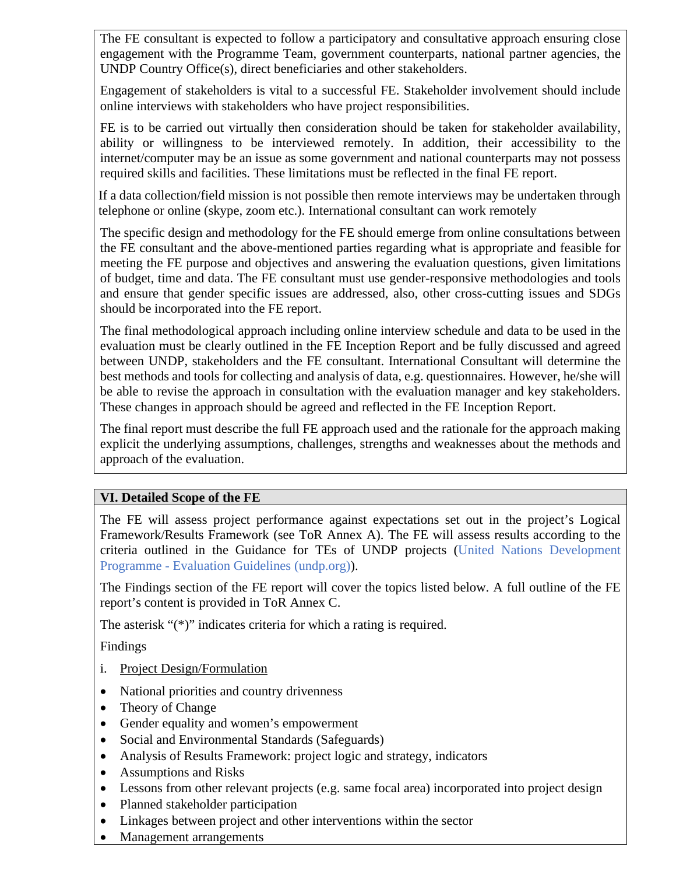The FE consultant is expected to follow a participatory and consultative approach ensuring close engagement with the Programme Team, government counterparts, national partner agencies, the UNDP Country Office(s), direct beneficiaries and other stakeholders.

Engagement of stakeholders is vital to a successful FE. Stakeholder involvement should include online interviews with stakeholders who have project responsibilities.

FE is to be carried out virtually then consideration should be taken for stakeholder availability, ability or willingness to be interviewed remotely. In addition, their accessibility to the internet/computer may be an issue as some government and national counterparts may not possess required skills and facilities. These limitations must be reflected in the final FE report.

If a data collection/field mission is not possible then remote interviews may be undertaken through telephone or online (skype, zoom etc.). International consultant can work remotely

The specific design and methodology for the FE should emerge from online consultations between the FE consultant and the above-mentioned parties regarding what is appropriate and feasible for meeting the FE purpose and objectives and answering the evaluation questions, given limitations of budget, time and data. The FE consultant must use gender-responsive methodologies and tools and ensure that gender specific issues are addressed, also, other cross-cutting issues and SDGs should be incorporated into the FE report.

The final methodological approach including online interview schedule and data to be used in the evaluation must be clearly outlined in the FE Inception Report and be fully discussed and agreed between UNDP, stakeholders and the FE consultant. International Consultant will determine the best methods and tools for collecting and analysis of data, e.g. questionnaires. However, he/she will be able to revise the approach in consultation with the evaluation manager and key stakeholders. These changes in approach should be agreed and reflected in the FE Inception Report.

The final report must describe the full FE approach used and the rationale for the approach making explicit the underlying assumptions, challenges, strengths and weaknesses about the methods and approach of the evaluation.

#### **VI. Detailed Scope of the FE**

The FE will assess project performance against expectations set out in the project's Logical Framework/Results Framework (see ToR Annex A). The FE will assess results according to the criteria outlined in the Guidance for TEs of UNDP projects [\(United Nations Development](http://web.undp.org/evaluation/guideline/)  Programme - [Evaluation Guidelines \(undp.org\)\)](http://web.undp.org/evaluation/guideline/).

The Findings section of the FE report will cover the topics listed below. A full outline of the FE report's content is provided in ToR Annex C.

The asterisk "(\*)" indicates criteria for which a rating is required.

Findings

- i. Project Design/Formulation
- National priorities and country drivenness
- Theory of Change
- Gender equality and women's empowerment
- Social and Environmental Standards (Safeguards)
- Analysis of Results Framework: project logic and strategy, indicators
- Assumptions and Risks
- Lessons from other relevant projects (e.g. same focal area) incorporated into project design
- Planned stakeholder participation
- Linkages between project and other interventions within the sector
- Management arrangements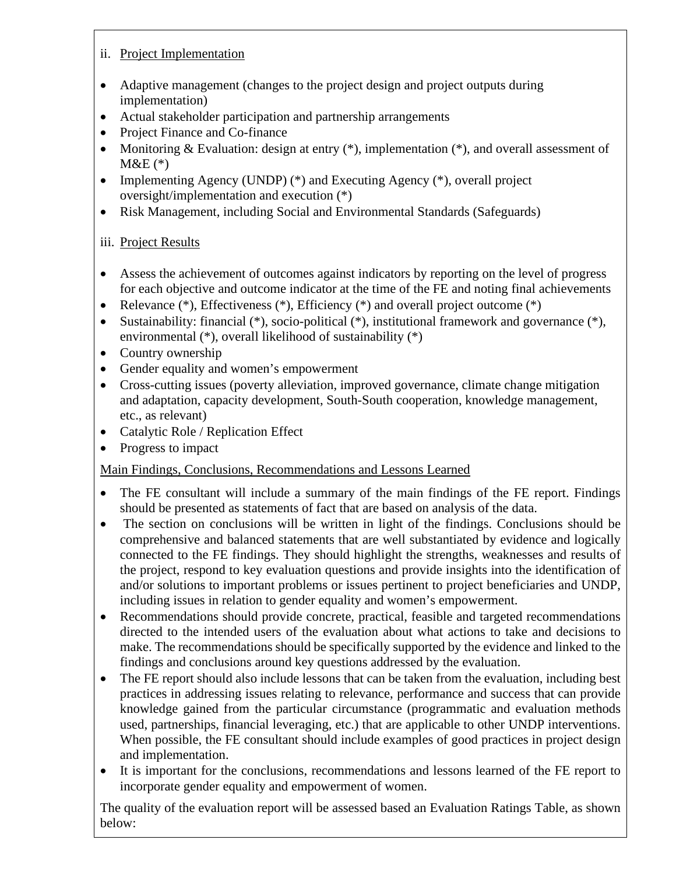## ii. Project Implementation

- Adaptive management (changes to the project design and project outputs during implementation)
- Actual stakeholder participation and partnership arrangements
- Project Finance and Co-finance
- Monitoring & Evaluation: design at entry  $(*)$ , implementation  $(*)$ , and overall assessment of  $M&E(*)$
- Implementing Agency (UNDP) (\*) and Executing Agency (\*), overall project oversight/implementation and execution (\*)
- Risk Management, including Social and Environmental Standards (Safeguards)

## iii. Project Results

- Assess the achievement of outcomes against indicators by reporting on the level of progress for each objective and outcome indicator at the time of the FE and noting final achievements
- Relevance  $(*)$ , Effectiveness  $(*)$ , Efficiency  $(*)$  and overall project outcome  $(*)$
- Sustainability: financial (\*), socio-political (\*), institutional framework and governance (\*), environmental (\*), overall likelihood of sustainability (\*)
- Country ownership
- Gender equality and women's empowerment
- Cross-cutting issues (poverty alleviation, improved governance, climate change mitigation and adaptation, capacity development, South-South cooperation, knowledge management, etc., as relevant)
- Catalytic Role / Replication Effect
- Progress to impact

## Main Findings, Conclusions, Recommendations and Lessons Learned

- The FE consultant will include a summary of the main findings of the FE report. Findings should be presented as statements of fact that are based on analysis of the data.
- The section on conclusions will be written in light of the findings. Conclusions should be comprehensive and balanced statements that are well substantiated by evidence and logically connected to the FE findings. They should highlight the strengths, weaknesses and results of the project, respond to key evaluation questions and provide insights into the identification of and/or solutions to important problems or issues pertinent to project beneficiaries and UNDP, including issues in relation to gender equality and women's empowerment.
- Recommendations should provide concrete, practical, feasible and targeted recommendations directed to the intended users of the evaluation about what actions to take and decisions to make. The recommendations should be specifically supported by the evidence and linked to the findings and conclusions around key questions addressed by the evaluation.
- The FE report should also include lessons that can be taken from the evaluation, including best practices in addressing issues relating to relevance, performance and success that can provide knowledge gained from the particular circumstance (programmatic and evaluation methods used, partnerships, financial leveraging, etc.) that are applicable to other UNDP interventions. When possible, the FE consultant should include examples of good practices in project design and implementation.
- It is important for the conclusions, recommendations and lessons learned of the FE report to incorporate gender equality and empowerment of women.

The quality of the evaluation report will be assessed based an Evaluation Ratings Table, as shown below: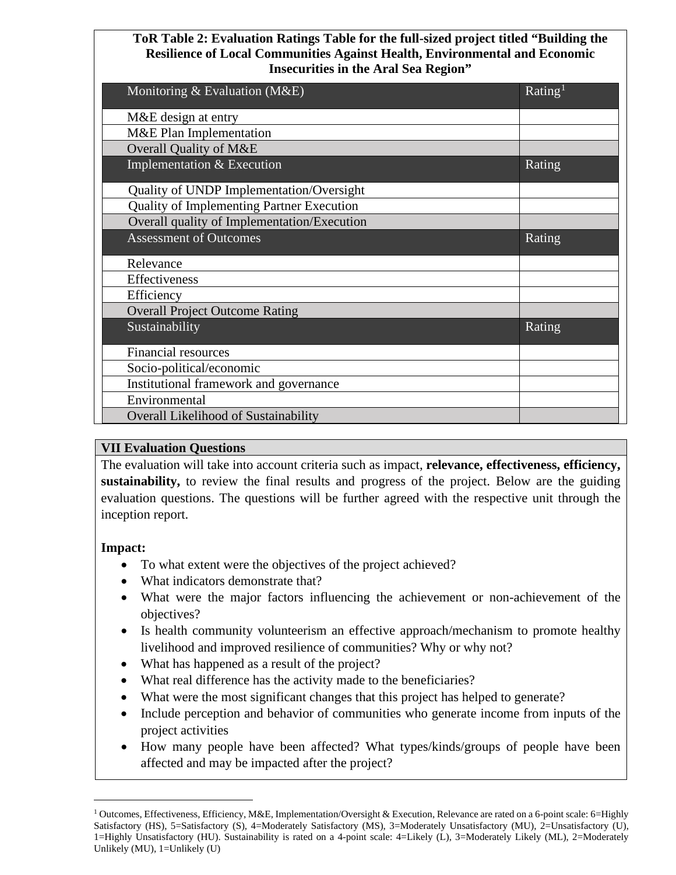#### **ToR Table 2: Evaluation Ratings Table for the full-sized project titled "Building the Resilience of Local Communities Against Health, Environmental and Economic Insecurities in the Aral Sea Region"**

| Monitoring & Evaluation (M&E)               | Rating <sup>1</sup> |
|---------------------------------------------|---------------------|
| M&E design at entry                         |                     |
| M&E Plan Implementation                     |                     |
| Overall Quality of M&E                      |                     |
| Implementation & Execution                  | Rating              |
| Quality of UNDP Implementation/Oversight    |                     |
| Quality of Implementing Partner Execution   |                     |
| Overall quality of Implementation/Execution |                     |
| <b>Assessment of Outcomes</b>               | Rating              |
| Relevance                                   |                     |
| Effectiveness                               |                     |
| Efficiency                                  |                     |
| <b>Overall Project Outcome Rating</b>       |                     |
| Sustainability                              | Rating              |
| <b>Financial resources</b>                  |                     |
| Socio-political/economic                    |                     |
| Institutional framework and governance      |                     |
| Environmental                               |                     |
| Overall Likelihood of Sustainability        |                     |

#### **VII Evaluation Questions**

The evaluation will take into account criteria such as impact, **relevance, effectiveness, efficiency, sustainability,** to review the final results and progress of the project. Below are the guiding evaluation questions. The questions will be further agreed with the respective unit through the inception report.

#### **Impact:**

- To what extent were the objectives of the project achieved?
- What indicators demonstrate that?
- What were the major factors influencing the achievement or non-achievement of the objectives?
- Is health community volunteerism an effective approach/mechanism to promote healthy livelihood and improved resilience of communities? Why or why not?
- What has happened as a result of the project?
- What real difference has the activity made to the beneficiaries?
- What were the most significant changes that this project has helped to generate?
- Include perception and behavior of communities who generate income from inputs of the project activities
- How many people have been affected? What types/kinds/groups of people have been affected and may be impacted after the project?

<span id="page-4-0"></span><sup>&</sup>lt;sup>1</sup> Outcomes, Effectiveness, Efficiency, M&E, Implementation/Oversight & Execution, Relevance are rated on a 6-point scale: 6=Highly Satisfactory (HS), 5=Satisfactory (S), 4=Moderately Satisfactory (MS), 3=Moderately Unsatisfactory (MU), 2=Unsatisfactory (U), 1=Highly Unsatisfactory (HU). Sustainability is rated on a 4-point scale: 4=Likely (L), 3=Moderately Likely (ML), 2=Moderately Unlikely (MU), 1=Unlikely (U)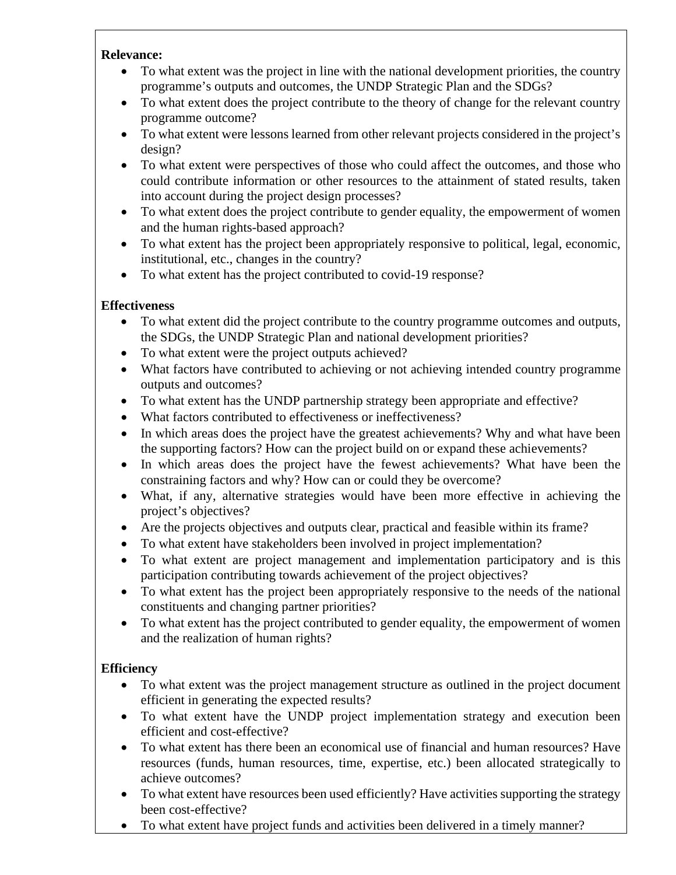#### **Relevance:**

- To what extent was the project in line with the national development priorities, the country programme's outputs and outcomes, the UNDP Strategic Plan and the SDGs?
- To what extent does the project contribute to the theory of change for the relevant country programme outcome?
- To what extent were lessons learned from other relevant projects considered in the project's design?
- To what extent were perspectives of those who could affect the outcomes, and those who could contribute information or other resources to the attainment of stated results, taken into account during the project design processes?
- To what extent does the project contribute to gender equality, the empowerment of women and the human rights-based approach?
- To what extent has the project been appropriately responsive to political, legal, economic, institutional, etc., changes in the country?
- To what extent has the project contributed to covid-19 response?

## **Effectiveness**

- To what extent did the project contribute to the country programme outcomes and outputs, the SDGs, the UNDP Strategic Plan and national development priorities?
- To what extent were the project outputs achieved?
- What factors have contributed to achieving or not achieving intended country programme outputs and outcomes?
- To what extent has the UNDP partnership strategy been appropriate and effective?
- What factors contributed to effectiveness or ineffectiveness?
- In which areas does the project have the greatest achievements? Why and what have been the supporting factors? How can the project build on or expand these achievements?
- In which areas does the project have the fewest achievements? What have been the constraining factors and why? How can or could they be overcome?
- What, if any, alternative strategies would have been more effective in achieving the project's objectives?
- Are the projects objectives and outputs clear, practical and feasible within its frame?
- To what extent have stakeholders been involved in project implementation?
- To what extent are project management and implementation participatory and is this participation contributing towards achievement of the project objectives?
- To what extent has the project been appropriately responsive to the needs of the national constituents and changing partner priorities?
- To what extent has the project contributed to gender equality, the empowerment of women and the realization of human rights?

## **Efficiency**

- To what extent was the project management structure as outlined in the project document efficient in generating the expected results?
- To what extent have the UNDP project implementation strategy and execution been efficient and cost-effective?
- To what extent has there been an economical use of financial and human resources? Have resources (funds, human resources, time, expertise, etc.) been allocated strategically to achieve outcomes?
- To what extent have resources been used efficiently? Have activities supporting the strategy been cost-effective?
- To what extent have project funds and activities been delivered in a timely manner?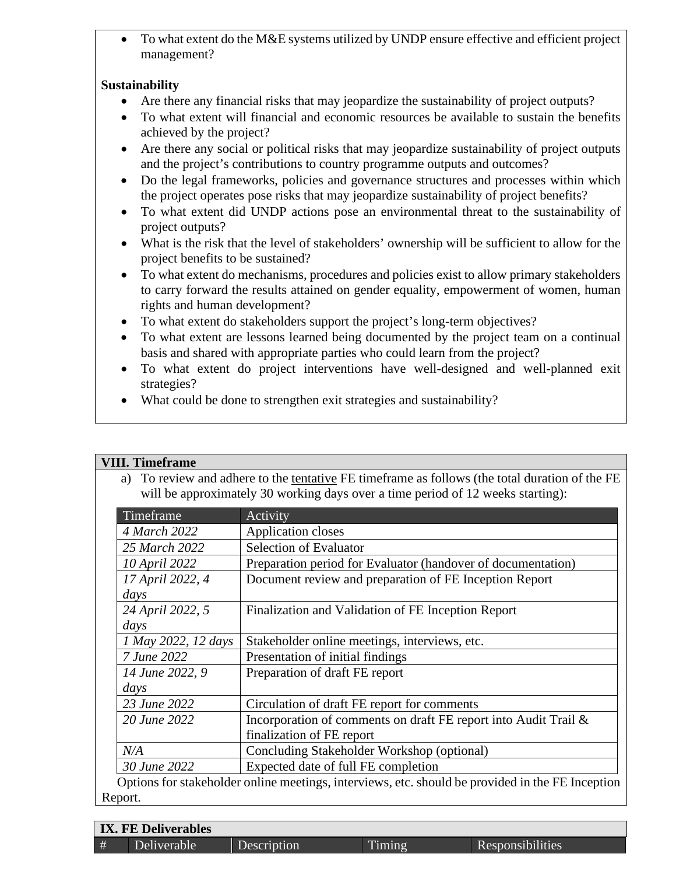• To what extent do the M&E systems utilized by UNDP ensure effective and efficient project management?

#### **Sustainability**

- Are there any financial risks that may jeopardize the sustainability of project outputs?
- To what extent will financial and economic resources be available to sustain the benefits achieved by the project?
- Are there any social or political risks that may jeopardize sustainability of project outputs and the project's contributions to country programme outputs and outcomes?
- Do the legal frameworks, policies and governance structures and processes within which the project operates pose risks that may jeopardize sustainability of project benefits?
- To what extent did UNDP actions pose an environmental threat to the sustainability of project outputs?
- What is the risk that the level of stakeholders' ownership will be sufficient to allow for the project benefits to be sustained?
- To what extent do mechanisms, procedures and policies exist to allow primary stakeholders to carry forward the results attained on gender equality, empowerment of women, human rights and human development?
- To what extent do stakeholders support the project's long-term objectives?
- To what extent are lessons learned being documented by the project team on a continual basis and shared with appropriate parties who could learn from the project?
- To what extent do project interventions have well-designed and well-planned exit strategies?
- What could be done to strengthen exit strategies and sustainability?

## **VIII. Timeframe**

a) To review and adhere to the tentative FE timeframe as follows (the total duration of the FE will be approximately 30 working days over a time period of 12 weeks starting):

| Timeframe           | Activity                                                        |  |  |  |
|---------------------|-----------------------------------------------------------------|--|--|--|
| 4 March 2022        | Application closes                                              |  |  |  |
| 25 March 2022       | <b>Selection of Evaluator</b>                                   |  |  |  |
| 10 April 2022       | Preparation period for Evaluator (handover of documentation)    |  |  |  |
| 17 April 2022, 4    | Document review and preparation of FE Inception Report          |  |  |  |
| days                |                                                                 |  |  |  |
| 24 April 2022, 5    | Finalization and Validation of FE Inception Report              |  |  |  |
| days                |                                                                 |  |  |  |
| 1 May 2022, 12 days | Stakeholder online meetings, interviews, etc.                   |  |  |  |
| 7 June 2022         | Presentation of initial findings                                |  |  |  |
| 14 June 2022, 9     | Preparation of draft FE report                                  |  |  |  |
| days                |                                                                 |  |  |  |
| 23 June 2022        | Circulation of draft FE report for comments                     |  |  |  |
| 20 June 2022        | Incorporation of comments on draft FE report into Audit Trail & |  |  |  |
|                     | finalization of FE report                                       |  |  |  |
| N/A                 | Concluding Stakeholder Workshop (optional)                      |  |  |  |
|                     | Expected date of full FE completion                             |  |  |  |

| <b>IX. FE Deliverables</b> |             |                          |         |                  |  |
|----------------------------|-------------|--------------------------|---------|------------------|--|
| $\mathbf{H}$               | Deliverable | Description <sup>1</sup> | l'iming | Responsibilities |  |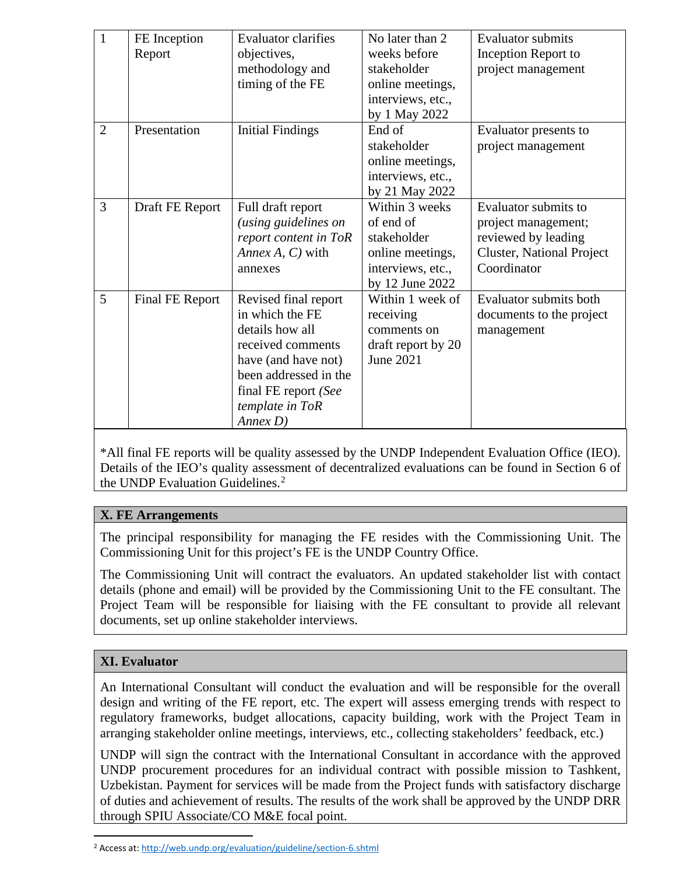| 1              | FE Inception    | <b>Evaluator clarifies</b> | No later than 2    | <b>Evaluator submits</b>  |
|----------------|-----------------|----------------------------|--------------------|---------------------------|
|                | Report          | objectives,                | weeks before       | Inception Report to       |
|                |                 | methodology and            | stakeholder        | project management        |
|                |                 | timing of the FE           | online meetings,   |                           |
|                |                 |                            | interviews, etc.,  |                           |
|                |                 |                            | by 1 May 2022      |                           |
| $\overline{2}$ | Presentation    | <b>Initial Findings</b>    | End of             | Evaluator presents to     |
|                |                 |                            | stakeholder        | project management        |
|                |                 |                            | online meetings,   |                           |
|                |                 |                            | interviews, etc.,  |                           |
|                |                 |                            | by 21 May 2022     |                           |
| 3              | Draft FE Report | Full draft report          | Within 3 weeks     | Evaluator submits to      |
|                |                 | (using guidelines on       | of end of          | project management;       |
|                |                 | report content in ToR      | stakeholder        | reviewed by leading       |
|                |                 | Annex A, C) with           | online meetings,   | Cluster, National Project |
|                |                 | annexes                    | interviews, etc.,  | Coordinator               |
|                |                 |                            | by 12 June 2022    |                           |
| 5              | Final FE Report | Revised final report       | Within 1 week of   | Evaluator submits both    |
|                |                 | in which the FE            | receiving          | documents to the project  |
|                |                 | details how all            | comments on        | management                |
|                |                 | received comments          | draft report by 20 |                           |
|                |                 | have (and have not)        | <b>June 2021</b>   |                           |
|                |                 | been addressed in the      |                    |                           |
|                |                 | final FE report (See       |                    |                           |
|                |                 | template in ToR            |                    |                           |
|                |                 | Annex D)                   |                    |                           |

\*All final FE reports will be quality assessed by the UNDP Independent Evaluation Office (IEO). Details of the IEO's quality assessment of decentralized evaluations can be found in Section 6 of the UNDP Evaluation Guidelines. $<sup>2</sup>$  $<sup>2</sup>$  $<sup>2</sup>$ </sup>

## **X. FE Arrangements**

The principal responsibility for managing the FE resides with the Commissioning Unit. The Commissioning Unit for this project's FE is the UNDP Country Office.

The Commissioning Unit will contract the evaluators. An updated stakeholder list with contact details (phone and email) will be provided by the Commissioning Unit to the FE consultant. The Project Team will be responsible for liaising with the FE consultant to provide all relevant documents, set up online stakeholder interviews.

## **XI. Evaluator**

An International Consultant will conduct the evaluation and will be responsible for the overall design and writing of the FE report, etc. The expert will assess emerging trends with respect to regulatory frameworks, budget allocations, capacity building, work with the Project Team in arranging stakeholder online meetings, interviews, etc., collecting stakeholders' feedback, etc.)

UNDP will sign the contract with the International Consultant in accordance with the approved UNDP procurement procedures for an individual contract with possible mission to Tashkent, Uzbekistan. Payment for services will be made from the Project funds with satisfactory discharge of duties and achievement of results. The results of the work shall be approved by the UNDP DRR through SPIU Associate/CO M&E focal point.

<span id="page-7-0"></span><sup>2</sup> Access at[: http://web.undp.org/evaluation/guideline/section-6.shtml](http://web.undp.org/evaluation/guideline/section-6.shtml)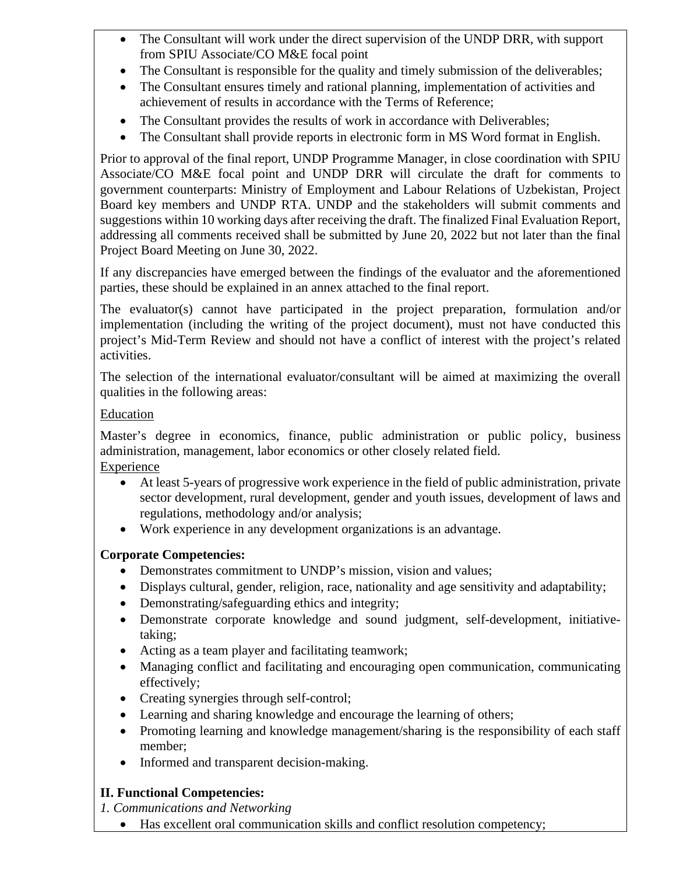- The Consultant will work under the direct supervision of the UNDP DRR, with support from SPIU Associate/CO M&E focal point
- The Consultant is responsible for the quality and timely submission of the deliverables;
- The Consultant ensures timely and rational planning, implementation of activities and achievement of results in accordance with the Terms of Reference;
- The Consultant provides the results of work in accordance with Deliverables;
- The Consultant shall provide reports in electronic form in MS Word format in English.

Prior to approval of the final report, UNDP Programme Manager, in close coordination with SPIU Associate/CO M&E focal point and UNDP DRR will circulate the draft for comments to government counterparts: Ministry of Employment and Labour Relations of Uzbekistan, Project Board key members and UNDP RTA. UNDP and the stakeholders will submit comments and suggestions within 10 working days after receiving the draft. The finalized Final Evaluation Report, addressing all comments received shall be submitted by June 20, 2022 but not later than the final Project Board Meeting on June 30, 2022.

If any discrepancies have emerged between the findings of the evaluator and the aforementioned parties, these should be explained in an annex attached to the final report.

The evaluator(s) cannot have participated in the project preparation, formulation and/or implementation (including the writing of the project document), must not have conducted this project's Mid-Term Review and should not have a conflict of interest with the project's related activities.

The selection of the international evaluator/consultant will be aimed at maximizing the overall qualities in the following areas:

#### Education

Master's degree in economics, finance, public administration or public policy, business administration, management, labor economics or other closely related field. Experience

- At least 5-years of progressive work experience in the field of public administration, private sector development, rural development, gender and youth issues, development of laws and regulations, methodology and/or analysis;
- Work experience in any development organizations is an advantage.

## **Corporate Competencies:**

- Demonstrates commitment to UNDP's mission, vision and values;
- Displays cultural, gender, religion, race, nationality and age sensitivity and adaptability;
- Demonstrating/safeguarding ethics and integrity;
- Demonstrate corporate knowledge and sound judgment, self-development, initiativetaking;
- Acting as a team player and facilitating teamwork;
- Managing conflict and facilitating and encouraging open communication, communicating effectively;
- Creating synergies through self-control;
- Learning and sharing knowledge and encourage the learning of others;
- Promoting learning and knowledge management/sharing is the responsibility of each staff member;
- Informed and transparent decision-making.

## **II. Functional Competencies:**

*1. Communications and Networking*

• Has excellent oral communication skills and conflict resolution competency;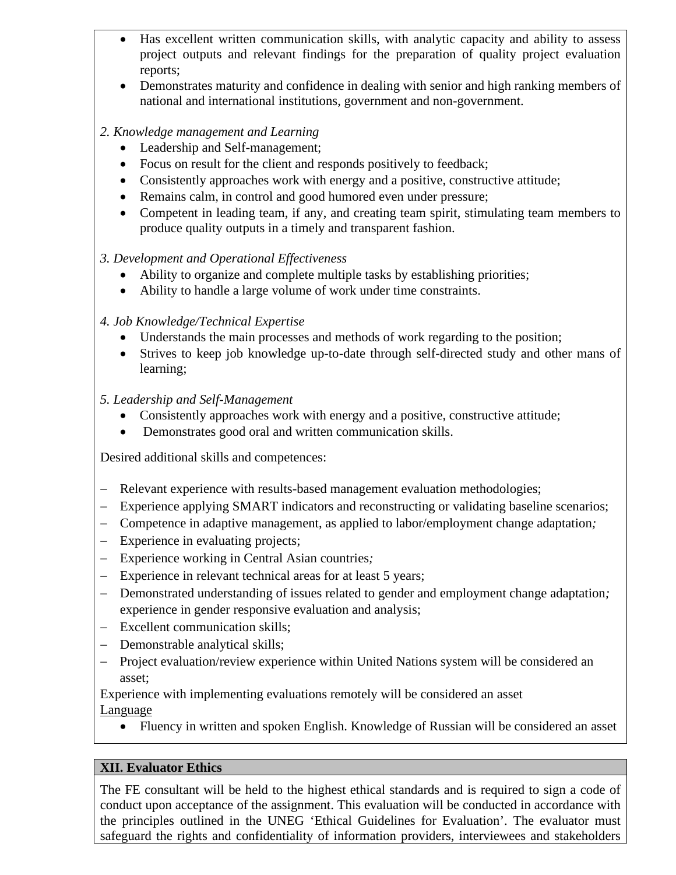- Has excellent written communication skills, with analytic capacity and ability to assess project outputs and relevant findings for the preparation of quality project evaluation reports;
- Demonstrates maturity and confidence in dealing with senior and high ranking members of national and international institutions, government and non-government.

#### *2. Knowledge management and Learning*

- Leadership and Self-management;
- Focus on result for the client and responds positively to feedback;
- Consistently approaches work with energy and a positive, constructive attitude;
- Remains calm, in control and good humored even under pressure;
- Competent in leading team, if any, and creating team spirit, stimulating team members to produce quality outputs in a timely and transparent fashion.

#### *3. Development and Operational Effectiveness*

- Ability to organize and complete multiple tasks by establishing priorities;
- Ability to handle a large volume of work under time constraints.

#### *4. Job Knowledge/Technical Expertise*

- Understands the main processes and methods of work regarding to the position;
- Strives to keep job knowledge up-to-date through self-directed study and other mans of learning;
- *5. Leadership and Self-Management* 
	- Consistently approaches work with energy and a positive, constructive attitude;
	- Demonstrates good oral and written communication skills.

Desired additional skills and competences:

- − Relevant experience with results-based management evaluation methodologies;
- − Experience applying SMART indicators and reconstructing or validating baseline scenarios;
- − Competence in adaptive management, as applied to labor/employment change adaptation*;*
- − Experience in evaluating projects;
- − Experience working in Central Asian countries*;*
- − Experience in relevant technical areas for at least 5 years;
- − Demonstrated understanding of issues related to gender and employment change adaptation*;* experience in gender responsive evaluation and analysis;
- − Excellent communication skills;
- − Demonstrable analytical skills;
- − Project evaluation/review experience within United Nations system will be considered an asset;

Experience with implementing evaluations remotely will be considered an asset Language

• Fluency in written and spoken English. Knowledge of Russian will be considered an asset

#### **XII. Evaluator Ethics**

The FE consultant will be held to the highest ethical standards and is required to sign a code of conduct upon acceptance of the assignment. This evaluation will be conducted in accordance with the principles outlined in the UNEG 'Ethical Guidelines for Evaluation'. The evaluator must safeguard the rights and confidentiality of information providers, interviewees and stakeholders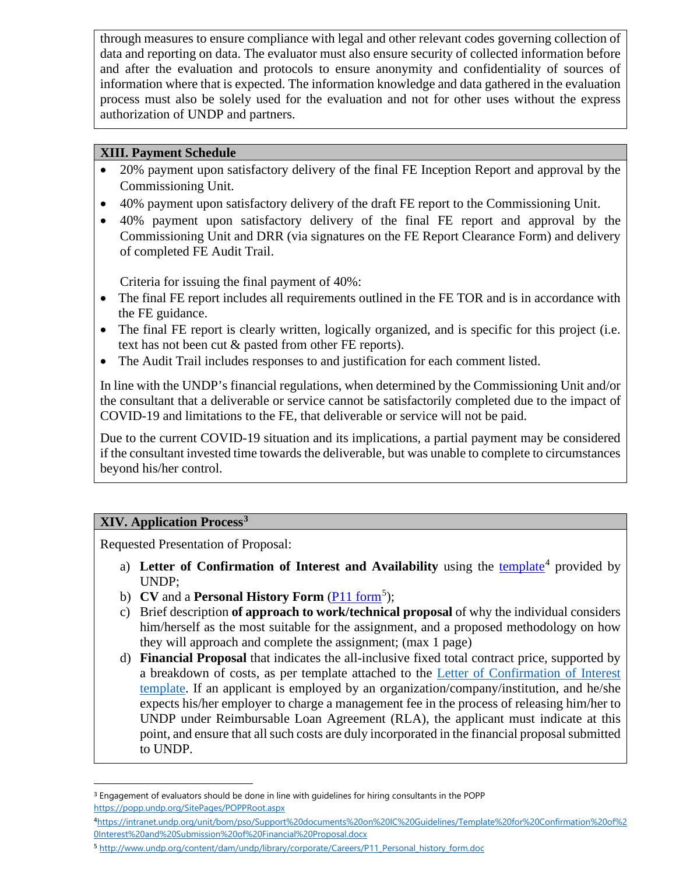through measures to ensure compliance with legal and other relevant codes governing collection of data and reporting on data. The evaluator must also ensure security of collected information before and after the evaluation and protocols to ensure anonymity and confidentiality of sources of information where that is expected. The information knowledge and data gathered in the evaluation process must also be solely used for the evaluation and not for other uses without the express authorization of UNDP and partners.

#### **XIII. Payment Schedule**

- 20% payment upon satisfactory delivery of the final FE Inception Report and approval by the Commissioning Unit.
- 40% payment upon satisfactory delivery of the draft FE report to the Commissioning Unit.
- 40% payment upon satisfactory delivery of the final FE report and approval by the Commissioning Unit and DRR (via signatures on the FE Report Clearance Form) and delivery of completed FE Audit Trail.

Criteria for issuing the final payment of 40%:

- The final FE report includes all requirements outlined in the FE TOR and is in accordance with the FE guidance.
- The final FE report is clearly written, logically organized, and is specific for this project (i.e. text has not been cut & pasted from other FE reports).
- The Audit Trail includes responses to and justification for each comment listed.

In line with the UNDP's financial regulations, when determined by the Commissioning Unit and/or the consultant that a deliverable or service cannot be satisfactorily completed due to the impact of COVID-19 and limitations to the FE, that deliverable or service will not be paid.

Due to the current COVID-19 situation and its implications, a partial payment may be considered if the consultant invested time towards the deliverable, but was unable to complete to circumstances beyond his/her control.

## **XIV. Application Process[3](#page-10-0)**

Requested Presentation of Proposal:

- a) Letter of Confirmation of Interest and Availability using the [template](https://intranet.undp.org/unit/bom/pso/Support%20documents%20on%20IC%20Guidelines/Template%20for%20Confirmation%20of%20Interest%20and%20Submission%20of%20Financial%20Proposal.docx)<sup>[4](#page-10-1)</sup> provided by UNDP;
- b) **CV** and a **Personal History Form** (*P11 form*<sup>[5](#page-10-2)</sup>);
- c) Brief description **of approach to work/technical proposal** of why the individual considers him/herself as the most suitable for the assignment, and a proposed methodology on how they will approach and complete the assignment; (max 1 page)
- d) **Financial Proposal** that indicates the all-inclusive fixed total contract price, supported by a breakdown of costs, as per template attached to the [Letter of Confirmation](https://popp.undp.org/_layouts/15/WopiFrame.aspx?sourcedoc=/UNDP_POPP_DOCUMENT_LIBRARY/Public/PSU_%20Individual%20Contract_Offerors%20Letter%20to%20UNDP%20Confirming%20Interest%20and%20Availability.docx&action=default) [of Interest](https://popp.undp.org/_layouts/15/WopiFrame.aspx?sourcedoc=/UNDP_POPP_DOCUMENT_LIBRARY/Public/PSU_%20Individual%20Contract_Offerors%20Letter%20to%20UNDP%20Confirming%20Interest%20and%20Availability.docx&action=default)  [template.](https://popp.undp.org/_layouts/15/WopiFrame.aspx?sourcedoc=/UNDP_POPP_DOCUMENT_LIBRARY/Public/PSU_%20Individual%20Contract_Offerors%20Letter%20to%20UNDP%20Confirming%20Interest%20and%20Availability.docx&action=default) If an applicant is employed by an organization/company/institution, and he/she expects his/her employer to charge a management fee in the process of releasing him/her to UNDP under Reimbursable Loan Agreement (RLA), the applicant must indicate at this point, and ensure that all such costs are duly incorporated in the financial proposal submitted to UNDP.

<span id="page-10-0"></span><sup>&</sup>lt;sup>3</sup> Engagement of evaluators should be done in line with guidelines for hiring consultants in the POPP <https://popp.undp.org/SitePages/POPPRoot.aspx>

<span id="page-10-1"></span><sup>4</sup>[https://intranet.undp.org/unit/bom/pso/Support%20documents%20on%20IC%20Guidelines/Template%20for%20Confirmation%20of%2](https://intranet.undp.org/unit/bom/pso/Support%20documents%20on%20IC%20Guidelines/Template%20for%20Confirmation%20of%20Interest%20and%20Submission%20of%20Financial%20Proposal.docx) [0Interest%20and%20Submission%20of%20Financial%20Proposal.docx](https://intranet.undp.org/unit/bom/pso/Support%20documents%20on%20IC%20Guidelines/Template%20for%20Confirmation%20of%20Interest%20and%20Submission%20of%20Financial%20Proposal.docx)

<span id="page-10-2"></span><sup>5</sup> [http://www.undp.org/content/dam/undp/library/corporate/Careers/P11\\_Personal\\_history\\_form.doc](http://www.undp.org/content/dam/undp/library/corporate/Careers/P11_Personal_history_form.doc)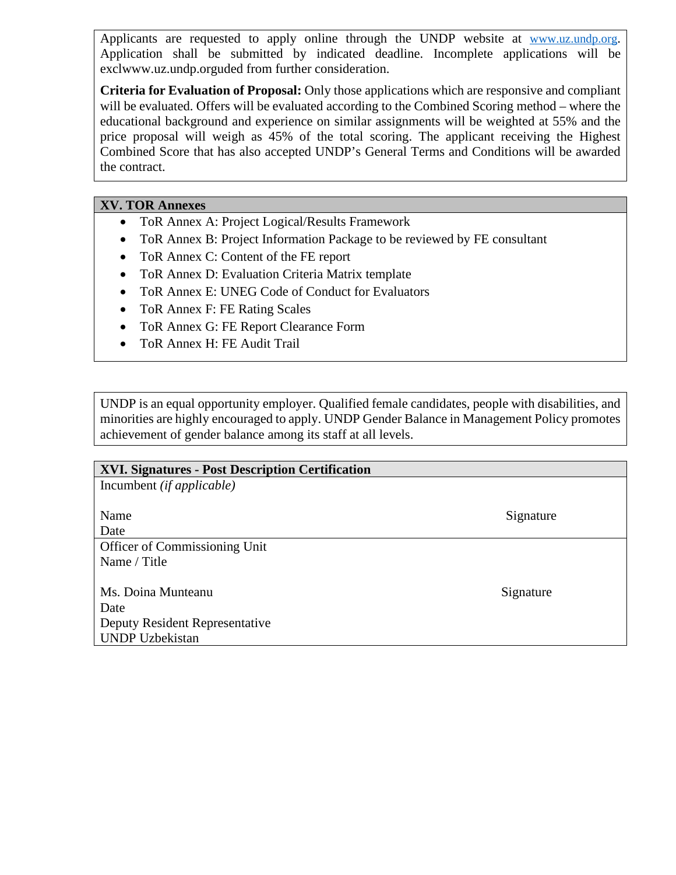Applicants are requested to apply online through the UNDP website at [www.uz.undp.org.](https://nam12.safelinks.protection.outlook.com/?url=http%3A%2F%2Fwww.uz.undp.org%2F&data=04%7C01%7Cbahtiyor.yunusov%40undp.org%7C332e0f84ce454fff92d508da01a7dc60%7Cb3e5db5e2944483799f57488ace54319%7C0%7C0%7C637824117708721332%7CUnknown%7CTWFpbGZsb3d8eyJWIjoiMC4wLjAwMDAiLCJQIjoiV2luMzIiLCJBTiI6Ik1haWwiLCJXVCI6Mn0%3D%7C3000&sdata=fCz%2BfeZc4T0WQh%2FqE7aUYroD5HzRwG8U6%2F4Jm%2FLgRlM%3D&reserved=0) Application shall be submitted by indicated deadline. Incomplete applications will be exclwww.uz.undp.orguded from further consideration.

**Criteria for Evaluation of Proposal:** Only those applications which are responsive and compliant will be evaluated. Offers will be evaluated according to the Combined Scoring method – where the educational background and experience on similar assignments will be weighted at 55% and the price proposal will weigh as 45% of the total scoring. The applicant receiving the Highest Combined Score that has also accepted UNDP's General Terms and Conditions will be awarded the contract.

#### **XV. TOR Annexes**

- ToR Annex A: Project Logical/Results Framework
- ToR Annex B: Project Information Package to be reviewed by FE consultant
- ToR Annex C: Content of the FE report
- ToR Annex D: Evaluation Criteria Matrix template
- ToR Annex E: UNEG Code of Conduct for Evaluators
- ToR Annex F: FE Rating Scales
- ToR Annex G: FE Report Clearance Form
- ToR Annex H: FE Audit Trail

UNDP is an equal opportunity employer. Qualified female candidates, people with disabilities, and minorities are highly encouraged to apply. UNDP Gender Balance in Management Policy promotes achievement of gender balance among its staff at all levels.

| <b>XVI. Signatures - Post Description Certification</b> |           |
|---------------------------------------------------------|-----------|
| Incumbent ( <i>if applicable</i> )                      |           |
|                                                         |           |
| Name                                                    | Signature |
| Date                                                    |           |
| Officer of Commissioning Unit                           |           |
| Name / Title                                            |           |
|                                                         |           |
| Ms. Doina Munteanu                                      | Signature |
| Date                                                    |           |
| Deputy Resident Representative                          |           |
| <b>UNDP Uzbekistan</b>                                  |           |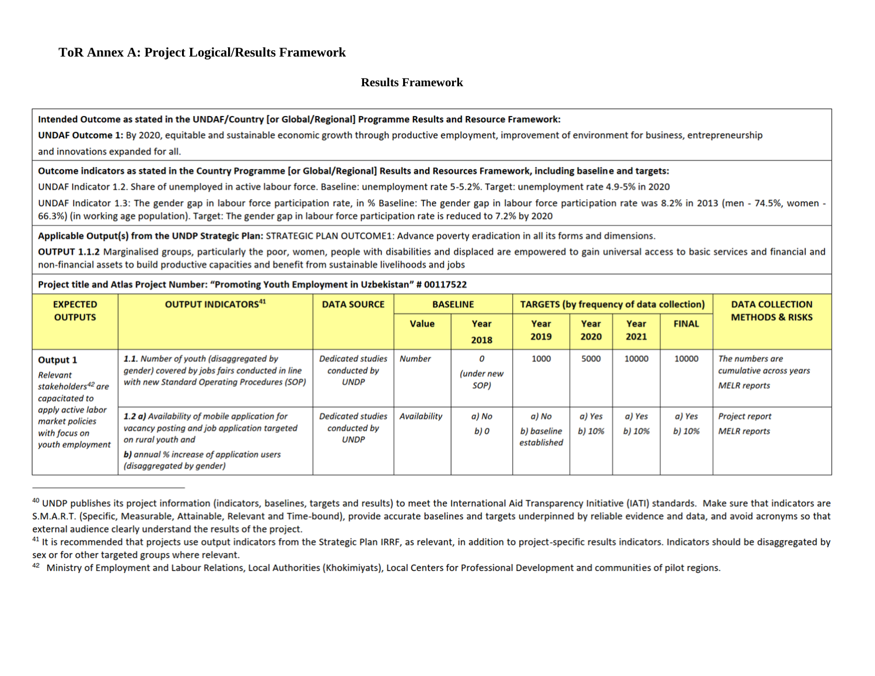#### **Results Framework**

#### Intended Outcome as stated in the UNDAF/Country [or Global/Regional] Programme Results and Resource Framework:

UNDAF Outcome 1: By 2020, equitable and sustainable economic growth through productive employment, improvement of environment for business, entrepreneurship and innovations expanded for all.

#### Outcome indicators as stated in the Country Programme [or Global/Regional] Results and Resources Framework, including baseline and targets:

UNDAF Indicator 1.2. Share of unemployed in active labour force. Baseline: unemployment rate 5-5.2%. Target: unemployment rate 4.9-5% in 2020

UNDAF Indicator 1.3: The gender gap in labour force participation rate, in % Baseline: The gender gap in labour force participation rate was 8.2% in 2013 (men - 74.5%, women -66.3%) (in working age population). Target: The gender gap in labour force participation rate is reduced to 7.2% by 2020

Applicable Output(s) from the UNDP Strategic Plan: STRATEGIC PLAN OUTCOME1: Advance poverty eradication in all its forms and dimensions.

OUTPUT 1.1.2 Marginalised groups, particularly the poor, women, people with disabilities and displaced are empowered to gain universal access to basic services and financial and non-financial assets to build productive capacities and benefit from sustainable livelihoods and jobs

#### Project title and Atlas Project Number: "Promoting Youth Employment in Uzbekistan" # 00117522

| <b>EXPECTED</b>                                                            | <b>OUTPUT INDICATORS</b> <sup>41</sup>                                                                                                                                                               | <b>DATA SOURCE</b>                                      |                     | <b>BASELINE</b>         | <b>TARGETS (by frequency of data collection)</b> |                  |                  |                  | <b>DATA COLLECTION</b>                                            |
|----------------------------------------------------------------------------|------------------------------------------------------------------------------------------------------------------------------------------------------------------------------------------------------|---------------------------------------------------------|---------------------|-------------------------|--------------------------------------------------|------------------|------------------|------------------|-------------------------------------------------------------------|
| <b>OUTPUTS</b>                                                             |                                                                                                                                                                                                      |                                                         | <b>Value</b>        | Year<br>2018            | Year<br>2019                                     | Year<br>2020     | Year<br>2021     | <b>FINAL</b>     | <b>METHODS &amp; RISKS</b>                                        |
| Output 1<br>Relevant<br>stakeholders <sup>42</sup> are<br>capacitated to   | 1.1. Number of youth (disaggregated by<br>gender) covered by jobs fairs conducted in line<br>with new Standard Operating Procedures (SOP)                                                            | <b>Dedicated studies</b><br>conducted by<br><b>UNDP</b> | <b>Number</b>       | 0<br>(under new<br>SOP) | 1000                                             | 5000             | 10000            | 10000            | The numbers are<br>cumulative across years<br><b>MELR</b> reports |
| apply active labor<br>market policies<br>with focus on<br>youth employment | 1.2 a) Availability of mobile application for<br>vacancy posting and job application targeted<br>on rural youth and<br><b>b)</b> annual % increase of application users<br>(disaggregated by gender) | <b>Dedicated studies</b><br>conducted by<br><b>UNDP</b> | <b>Availability</b> | a) No<br>b) O           | a) No<br>b) baseline<br>established              | a) Yes<br>b) 10% | a) Yes<br>b) 10% | a) Yes<br>b) 10% | <b>Project report</b><br><b>MELR</b> reports                      |

<sup>&</sup>lt;sup>40</sup> UNDP publishes its project information (indicators, baselines, targets and results) to meet the International Aid Transparency Initiative (IATI) standards. Make sure that indicators are S.M.A.R.T. (Specific, Measurable, Attainable, Relevant and Time-bound), provide accurate baselines and targets underpinned by reliable evidence and data, and avoid acronyms so that external audience clearly understand the results of the project.

<sup>&</sup>lt;sup>41</sup> It is recommended that projects use output indicators from the Strategic Plan IRRF, as relevant, in addition to project-specific results indicators, Indicators should be disaggregated by sex or for other targeted groups where relevant.

<sup>42</sup> Ministry of Employment and Labour Relations, Local Authorities (Khokimiyats), Local Centers for Professional Development and communities of pilot regions.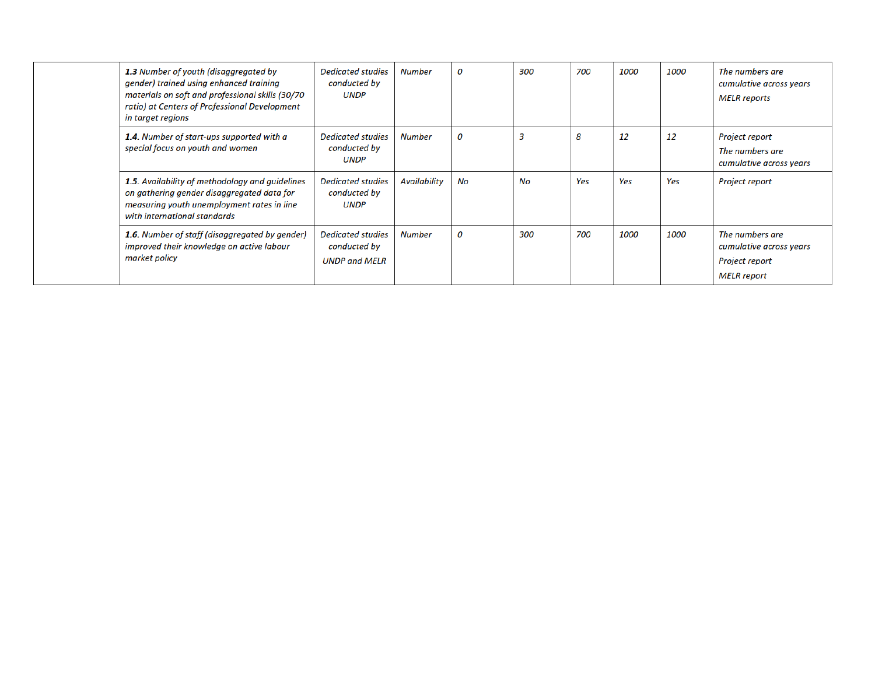| 1.3 Number of youth (disaggregated by<br>gender) trained using enhanced training<br>materials on soft and professional skills (30/70<br>ratio) at Centers of Professional Development<br>in target regions | <b>Dedicated studies</b><br>conducted by<br><b>UNDP</b>          | <b>Number</b>       | 0  | 300                     | 700 | 1000        | 1000        | The numbers are<br>cumulative across years<br><b>MELR</b> reports                  |
|------------------------------------------------------------------------------------------------------------------------------------------------------------------------------------------------------------|------------------------------------------------------------------|---------------------|----|-------------------------|-----|-------------|-------------|------------------------------------------------------------------------------------|
| 1.4. Number of start-ups supported with a<br>special focus on youth and women                                                                                                                              | <b>Dedicated studies</b><br>conducted by<br><b>UNDP</b>          | <b>Number</b>       | 0  | $\overline{\mathbf{3}}$ | 8   | 12          | 12          | Project report<br>The numbers are<br>cumulative across years                       |
| 1.5. Availability of methodology and guidelines<br>on gathering gender disaggregated data for<br>measuring youth unemployment rates in line<br>with international standards                                | <b>Dedicated studies</b><br>conducted by<br><b>UNDP</b>          | <b>Availability</b> | No | No                      | Yes | Yes         | Yes         | Project report                                                                     |
| 1.6. Number of staff (disaggregated by gender)<br>improved their knowledge on active labour<br>market policy                                                                                               | <b>Dedicated studies</b><br>conducted by<br><b>UNDP and MELR</b> | <b>Number</b>       | 0  | 300                     | 700 | <i>1000</i> | <i>1000</i> | The numbers are<br>cumulative across years<br>Project report<br><b>MELR</b> report |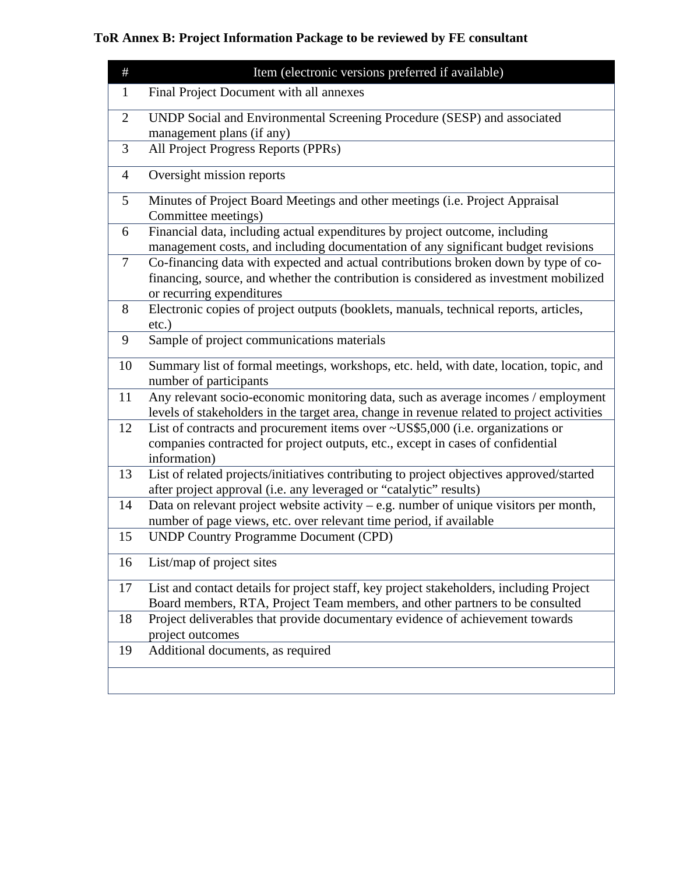# **ToR Annex B: Project Information Package to be reviewed by FE consultant**

| $\#$           | Item (electronic versions preferred if available)                                                                                                                                                         |
|----------------|-----------------------------------------------------------------------------------------------------------------------------------------------------------------------------------------------------------|
| 1              | Final Project Document with all annexes                                                                                                                                                                   |
| $\overline{2}$ | UNDP Social and Environmental Screening Procedure (SESP) and associated<br>management plans (if any)                                                                                                      |
| 3              | All Project Progress Reports (PPRs)                                                                                                                                                                       |
| 4              | Oversight mission reports                                                                                                                                                                                 |
| 5              | Minutes of Project Board Meetings and other meetings (i.e. Project Appraisal<br>Committee meetings)                                                                                                       |
| 6              | Financial data, including actual expenditures by project outcome, including<br>management costs, and including documentation of any significant budget revisions                                          |
| 7              | Co-financing data with expected and actual contributions broken down by type of co-<br>financing, source, and whether the contribution is considered as investment mobilized<br>or recurring expenditures |
| 8              | Electronic copies of project outputs (booklets, manuals, technical reports, articles,<br>$etc.$ )                                                                                                         |
| 9              | Sample of project communications materials                                                                                                                                                                |
| 10             | Summary list of formal meetings, workshops, etc. held, with date, location, topic, and<br>number of participants                                                                                          |
| 11             | Any relevant socio-economic monitoring data, such as average incomes / employment<br>levels of stakeholders in the target area, change in revenue related to project activities                           |
| 12             | List of contracts and procurement items over $\sim USS5,000$ (i.e. organizations or<br>companies contracted for project outputs, etc., except in cases of confidential<br>information)                    |
| 13             | List of related projects/initiatives contributing to project objectives approved/started<br>after project approval (i.e. any leveraged or "catalytic" results)                                            |
| 14             | Data on relevant project website activity $-$ e.g. number of unique visitors per month,<br>number of page views, etc. over relevant time period, if available                                             |
| 15             | <b>UNDP Country Programme Document (CPD)</b>                                                                                                                                                              |
| 16             | List/map of project sites                                                                                                                                                                                 |
| 17             | List and contact details for project staff, key project stakeholders, including Project<br>Board members, RTA, Project Team members, and other partners to be consulted                                   |
| 18             | Project deliverables that provide documentary evidence of achievement towards<br>project outcomes                                                                                                         |
| 19             | Additional documents, as required                                                                                                                                                                         |
|                |                                                                                                                                                                                                           |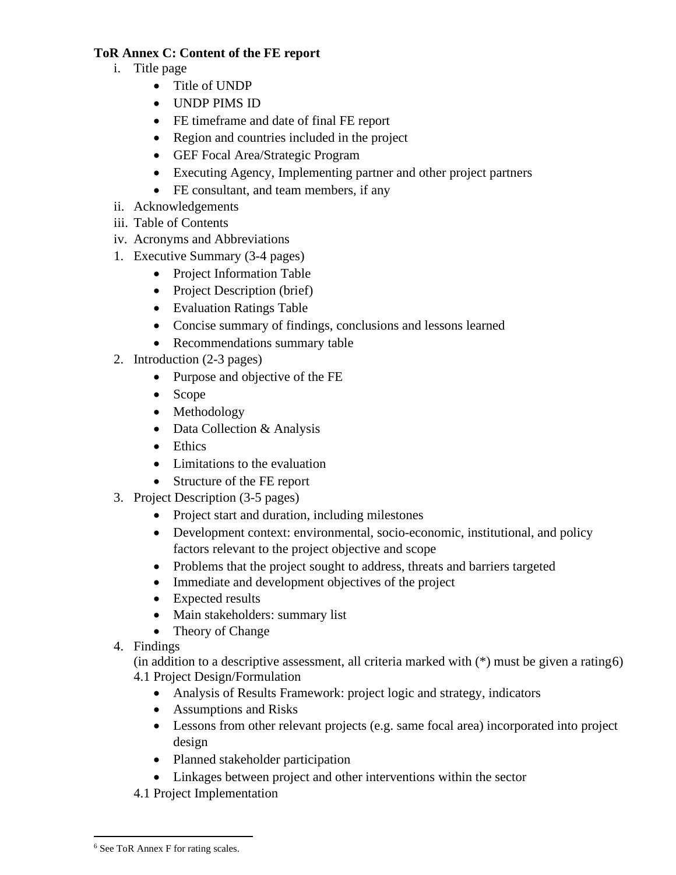#### **ToR Annex C: Content of the FE report**

- i. Title page
	- Title of UNDP
	- UNDP PIMS ID
	- FE timeframe and date of final FE report
	- Region and countries included in the project
	- GEF Focal Area/Strategic Program
	- Executing Agency, Implementing partner and other project partners
	- FE consultant, and team members, if any
- ii. Acknowledgements
- iii. Table of Contents
- iv. Acronyms and Abbreviations
- 1. Executive Summary (3-4 pages)
	- Project Information Table
	- Project Description (brief)
	- Evaluation Ratings Table
	- Concise summary of findings, conclusions and lessons learned
	- Recommendations summary table
- 2. Introduction (2-3 pages)
	- Purpose and objective of the FE
	- Scope
	- Methodology
	- Data Collection & Analysis
	- Ethics
	- Limitations to the evaluation
	- Structure of the FE report
- 3. Project Description (3-5 pages)
	- Project start and duration, including milestones
	- Development context: environmental, socio-economic, institutional, and policy factors relevant to the project objective and scope
	- Problems that the project sought to address, threats and barriers targeted
	- Immediate and development objectives of the project
	- Expected results
	- Main stakeholders: summary list
	- Theory of Change
- 4. Findings

(in addition to a descriptive assessment, all criteria marked with (\*) must be given a rating[6\)](#page-15-0) 4.1 Project Design/Formulation

- Analysis of Results Framework: project logic and strategy, indicators
- Assumptions and Risks
- Lessons from other relevant projects (e.g. same focal area) incorporated into project design
- Planned stakeholder participation
- Linkages between project and other interventions within the sector
- 4.1 Project Implementation

<span id="page-15-0"></span><sup>6</sup> See ToR Annex F for rating scales.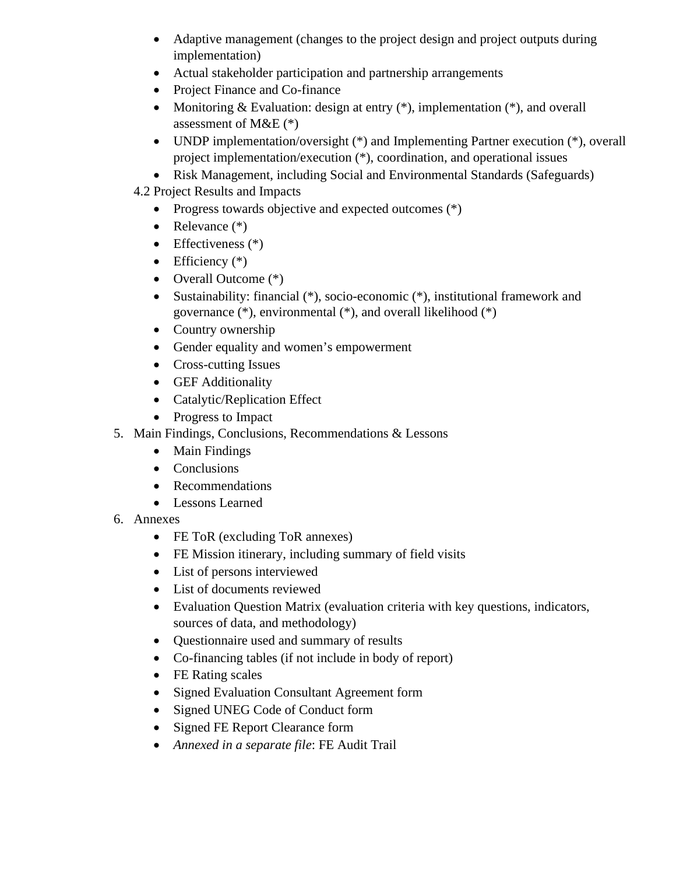- Adaptive management (changes to the project design and project outputs during implementation)
- Actual stakeholder participation and partnership arrangements
- Project Finance and Co-finance
- Monitoring  $& Evaluation: design at entry (*)$ , implementation  $(*)$ , and overall assessment of M&E  $(*)$
- UNDP implementation/oversight (\*) and Implementing Partner execution (\*), overall project implementation/execution (\*), coordination, and operational issues
- Risk Management, including Social and Environmental Standards (Safeguards)
- 4.2 Project Results and Impacts
	- Progress towards objective and expected outcomes  $(*)$
	- Relevance  $(*)$
	- Effectiveness  $(*)$
	- Efficiency  $(*)$
	- Overall Outcome  $(*)$
	- Sustainability: financial (\*), socio-economic (\*), institutional framework and governance (\*), environmental (\*), and overall likelihood (\*)
	- Country ownership
	- Gender equality and women's empowerment
	- Cross-cutting Issues
	- GEF Additionality
	- Catalytic/Replication Effect
	- Progress to Impact
- 5. Main Findings, Conclusions, Recommendations & Lessons
	- Main Findings
	- Conclusions
	- Recommendations
	- Lessons Learned
- 6. Annexes
	- FE ToR (excluding ToR annexes)
	- FE Mission itinerary, including summary of field visits
	- List of persons interviewed
	- List of documents reviewed
	- Evaluation Question Matrix (evaluation criteria with key questions, indicators, sources of data, and methodology)
	- Questionnaire used and summary of results
	- Co-financing tables (if not include in body of report)
	- FE Rating scales
	- Signed Evaluation Consultant Agreement form
	- Signed UNEG Code of Conduct form
	- Signed FE Report Clearance form
	- *Annexed in a separate file*: FE Audit Trail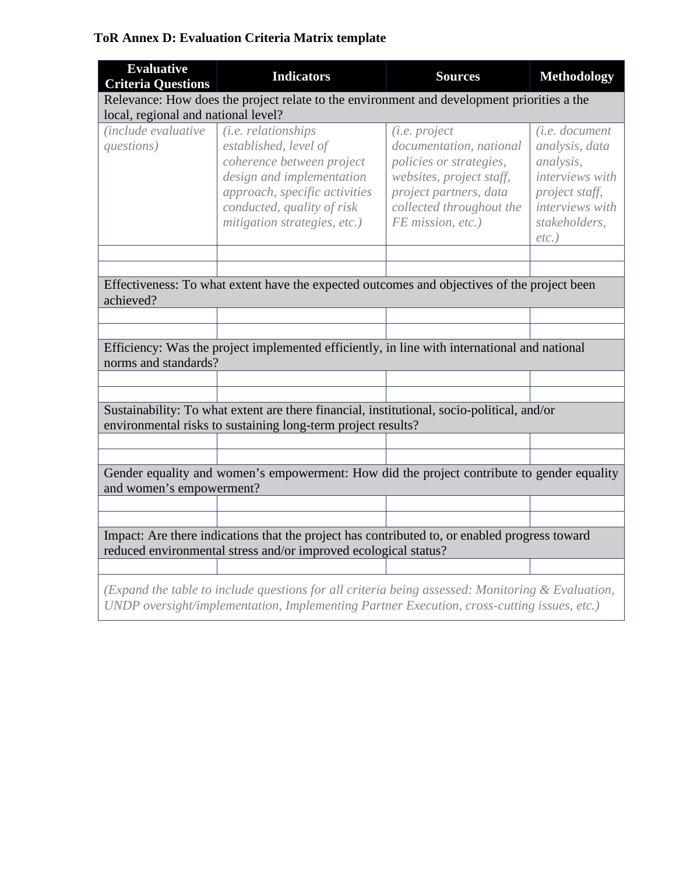## **ToR Annex D: Evaluation Criteria Matrix template**

| <b>Evaluative</b><br><b>Criteria Questions</b>                                                                                                                   | <b>Indicators</b>                                                                                                                                                                                     | <b>Sources</b>                                                                                                                                                             | <b>Methodology</b>                                                                                                                        |  |  |  |
|------------------------------------------------------------------------------------------------------------------------------------------------------------------|-------------------------------------------------------------------------------------------------------------------------------------------------------------------------------------------------------|----------------------------------------------------------------------------------------------------------------------------------------------------------------------------|-------------------------------------------------------------------------------------------------------------------------------------------|--|--|--|
| Relevance: How does the project relate to the environment and development priorities a the                                                                       |                                                                                                                                                                                                       |                                                                                                                                                                            |                                                                                                                                           |  |  |  |
| local, regional and national level?                                                                                                                              |                                                                                                                                                                                                       |                                                                                                                                                                            |                                                                                                                                           |  |  |  |
| <i>(include evaluative)</i><br>questions)                                                                                                                        | (i.e. relationships<br>established, level of<br>coherence between project<br>design and implementation<br>approach, specific activities<br>conducted, quality of risk<br>mitigation strategies, etc.) | (i.e. project<br>documentation, national<br>policies or strategies,<br>websites, project staff,<br>project partners, data<br>collected throughout the<br>FE mission, etc.) | (i.e. document<br>analysis, data<br>analysis,<br>interviews with<br>project staff,<br><i>interviews with</i><br>stakeholders,<br>$etc.$ ) |  |  |  |
|                                                                                                                                                                  |                                                                                                                                                                                                       |                                                                                                                                                                            |                                                                                                                                           |  |  |  |
| achieved?                                                                                                                                                        | Effectiveness: To what extent have the expected outcomes and objectives of the project been                                                                                                           |                                                                                                                                                                            |                                                                                                                                           |  |  |  |
|                                                                                                                                                                  |                                                                                                                                                                                                       |                                                                                                                                                                            |                                                                                                                                           |  |  |  |
|                                                                                                                                                                  |                                                                                                                                                                                                       |                                                                                                                                                                            |                                                                                                                                           |  |  |  |
| norms and standards?                                                                                                                                             | Efficiency: Was the project implemented efficiently, in line with international and national                                                                                                          |                                                                                                                                                                            |                                                                                                                                           |  |  |  |
|                                                                                                                                                                  |                                                                                                                                                                                                       |                                                                                                                                                                            |                                                                                                                                           |  |  |  |
|                                                                                                                                                                  |                                                                                                                                                                                                       |                                                                                                                                                                            |                                                                                                                                           |  |  |  |
|                                                                                                                                                                  | Sustainability: To what extent are there financial, institutional, socio-political, and/or<br>environmental risks to sustaining long-term project results?                                            |                                                                                                                                                                            |                                                                                                                                           |  |  |  |
|                                                                                                                                                                  |                                                                                                                                                                                                       |                                                                                                                                                                            |                                                                                                                                           |  |  |  |
|                                                                                                                                                                  |                                                                                                                                                                                                       |                                                                                                                                                                            |                                                                                                                                           |  |  |  |
| and women's empowerment?                                                                                                                                         | Gender equality and women's empowerment: How did the project contribute to gender equality                                                                                                            |                                                                                                                                                                            |                                                                                                                                           |  |  |  |
|                                                                                                                                                                  |                                                                                                                                                                                                       |                                                                                                                                                                            |                                                                                                                                           |  |  |  |
|                                                                                                                                                                  |                                                                                                                                                                                                       |                                                                                                                                                                            |                                                                                                                                           |  |  |  |
| Impact: Are there indications that the project has contributed to, or enabled progress toward<br>reduced environmental stress and/or improved ecological status? |                                                                                                                                                                                                       |                                                                                                                                                                            |                                                                                                                                           |  |  |  |
|                                                                                                                                                                  |                                                                                                                                                                                                       |                                                                                                                                                                            |                                                                                                                                           |  |  |  |
|                                                                                                                                                                  | (Expand the table to include questions for all criteria being assessed: Monitoring & Evaluation,<br>UNDP oversight/implementation, Implementing Partner Execution, cross-cutting issues, etc.)        |                                                                                                                                                                            |                                                                                                                                           |  |  |  |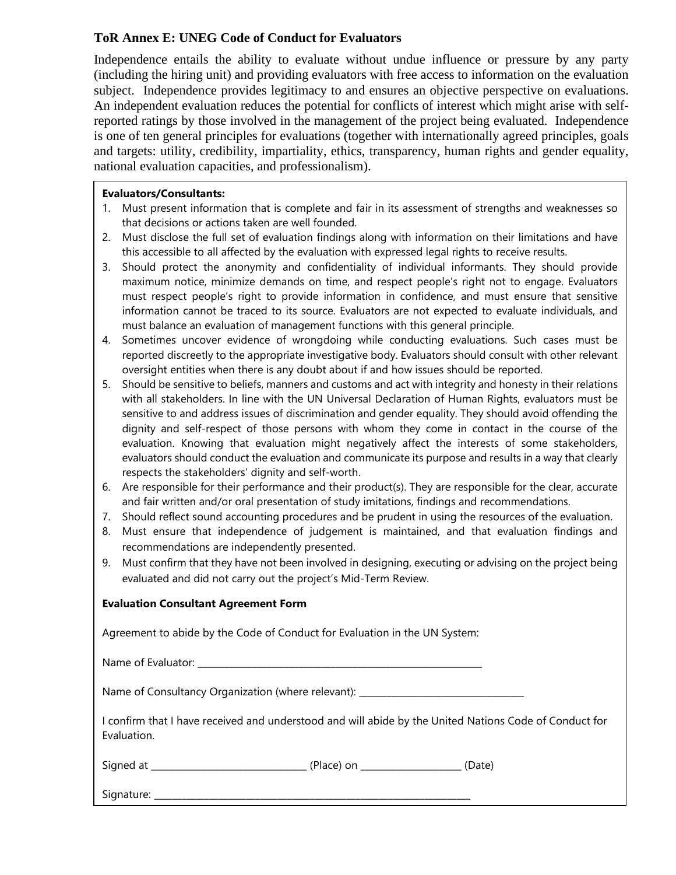#### **ToR Annex E: UNEG Code of Conduct for Evaluators**

Independence entails the ability to evaluate without undue influence or pressure by any party (including the hiring unit) and providing evaluators with free access to information on the evaluation subject. Independence provides legitimacy to and ensures an objective perspective on evaluations. An independent evaluation reduces the potential for conflicts of interest which might arise with selfreported ratings by those involved in the management of the project being evaluated. Independence is one of ten general principles for evaluations (together with internationally agreed principles, goals and targets: utility, credibility, impartiality, ethics, transparency, human rights and gender equality, national evaluation capacities, and professionalism).

#### **Evaluators/Consultants:**

- 1. Must present information that is complete and fair in its assessment of strengths and weaknesses so that decisions or actions taken are well founded.
- 2. Must disclose the full set of evaluation findings along with information on their limitations and have this accessible to all affected by the evaluation with expressed legal rights to receive results.
- 3. Should protect the anonymity and confidentiality of individual informants. They should provide maximum notice, minimize demands on time, and respect people's right not to engage. Evaluators must respect people's right to provide information in confidence, and must ensure that sensitive information cannot be traced to its source. Evaluators are not expected to evaluate individuals, and must balance an evaluation of management functions with this general principle.
- 4. Sometimes uncover evidence of wrongdoing while conducting evaluations. Such cases must be reported discreetly to the appropriate investigative body. Evaluators should consult with other relevant oversight entities when there is any doubt about if and how issues should be reported.
- 5. Should be sensitive to beliefs, manners and customs and act with integrity and honesty in their relations with all stakeholders. In line with the UN Universal Declaration of Human Rights, evaluators must be sensitive to and address issues of discrimination and gender equality. They should avoid offending the dignity and self-respect of those persons with whom they come in contact in the course of the evaluation. Knowing that evaluation might negatively affect the interests of some stakeholders, evaluators should conduct the evaluation and communicate its purpose and results in a way that clearly respects the stakeholders' dignity and self-worth.
- 6. Are responsible for their performance and their product(s). They are responsible for the clear, accurate and fair written and/or oral presentation of study imitations, findings and recommendations.
- 7. Should reflect sound accounting procedures and be prudent in using the resources of the evaluation.
- 8. Must ensure that independence of judgement is maintained, and that evaluation findings and recommendations are independently presented.
- 9. Must confirm that they have not been involved in designing, executing or advising on the project being evaluated and did not carry out the project's Mid-Term Review.

#### **Evaluation Consultant Agreement Form**

Agreement to abide by the Code of Conduct for Evaluation in the UN System:

Name of Evaluator: \_\_\_\_\_\_\_\_\_\_\_\_\_\_\_\_\_\_\_\_\_\_\_\_\_\_\_\_\_\_\_\_\_\_\_\_\_\_\_\_\_\_\_\_\_\_\_\_\_\_\_\_\_\_\_\_\_\_\_\_\_\_

Name of Consultancy Organization (where relevant): \_\_\_\_\_\_\_\_\_\_\_\_\_\_\_\_\_\_\_\_\_\_\_\_\_\_\_\_\_

I confirm that I have received and understood and will abide by the United Nations Code of Conduct for Evaluation.

Signed at \_\_\_\_\_\_\_\_\_\_\_\_\_\_\_\_\_\_\_\_\_\_\_\_\_\_\_\_\_\_\_\_\_\_ (Place) on \_\_\_\_\_\_\_\_\_\_\_\_\_\_\_\_\_\_\_\_\_\_ (Date)

Signature: \_\_\_\_\_\_\_\_\_\_\_\_\_\_\_\_\_\_\_\_\_\_\_\_\_\_\_\_\_\_\_\_\_\_\_\_\_\_\_\_\_\_\_\_\_\_\_\_\_\_\_\_\_\_\_\_\_\_\_\_\_\_\_\_\_\_\_\_\_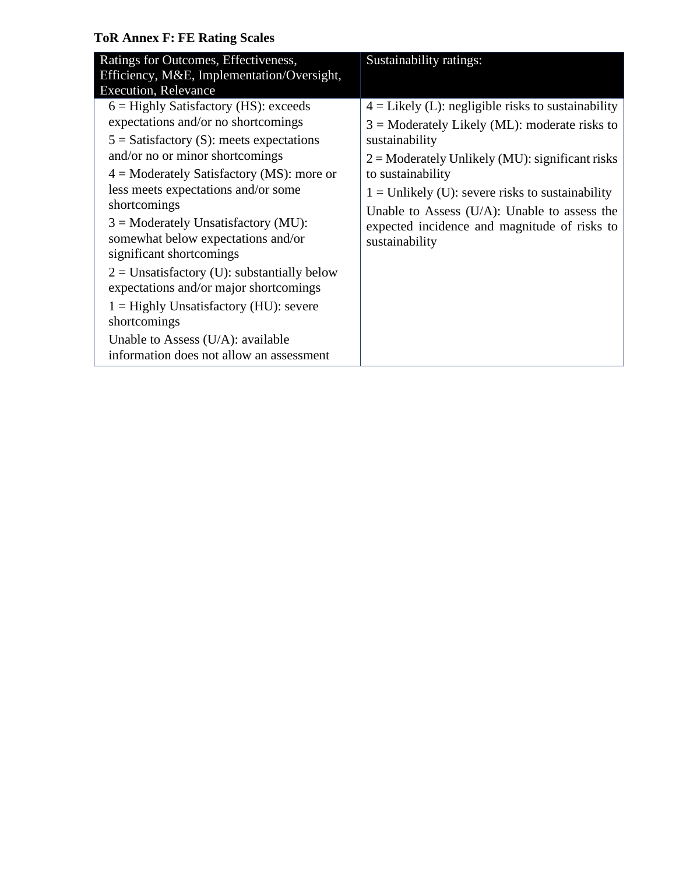## **ToR Annex F: FE Rating Scales**

| Ratings for Outcomes, Effectiveness,<br>Efficiency, M&E, Implementation/Oversight,<br><b>Execution, Relevance</b>                                                                                                                                                                                                                                                                                                                                                                                                                                                                                                           | Sustainability ratings:                                                                                                                                                                                                                                                                                                                                                        |
|-----------------------------------------------------------------------------------------------------------------------------------------------------------------------------------------------------------------------------------------------------------------------------------------------------------------------------------------------------------------------------------------------------------------------------------------------------------------------------------------------------------------------------------------------------------------------------------------------------------------------------|--------------------------------------------------------------------------------------------------------------------------------------------------------------------------------------------------------------------------------------------------------------------------------------------------------------------------------------------------------------------------------|
| $6 =$ Highly Satisfactory (HS): exceeds<br>expectations and/or no shortcomings<br>$5 =$ Satisfactory (S): meets expectations<br>and/or no or minor shortcomings<br>$4 =$ Moderately Satisfactory (MS): more or<br>less meets expectations and/or some<br>shortcomings<br>$3 =$ Moderately Unsatisfactory (MU):<br>somewhat below expectations and/or<br>significant shortcomings<br>$2 =$ Unsatisfactory (U): substantially below<br>expectations and/or major shortcomings<br>$1 =$ Highly Unsatisfactory (HU): severe<br>shortcomings<br>Unable to Assess $(U/A)$ : available<br>information does not allow an assessment | $4 =$ Likely (L): negligible risks to sustainability<br>$3$ = Moderately Likely (ML): moderate risks to<br>sustainability<br>$2 =$ Moderately Unlikely (MU): significant risks<br>to sustainability<br>$1 =$ Unlikely (U): severe risks to sustainability<br>Unable to Assess $(U/A)$ : Unable to assess the<br>expected incidence and magnitude of risks to<br>sustainability |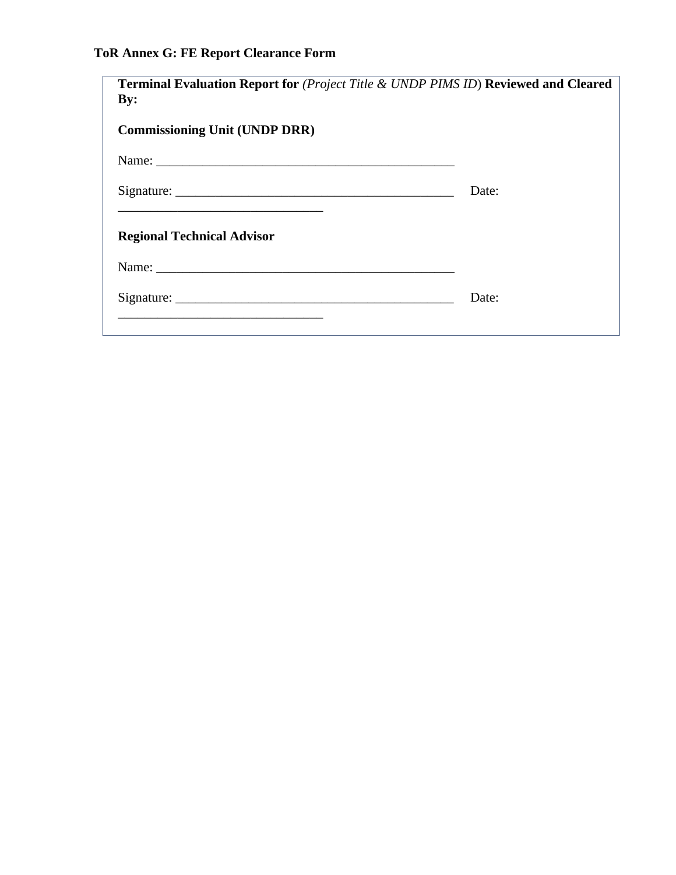# **ToR Annex G: FE Report Clearance Form**

| <b>Terminal Evaluation Report for (Project Title &amp; UNDP PIMS ID) Reviewed and Cleared</b><br>$\mathbf{By:}$                                                    |       |
|--------------------------------------------------------------------------------------------------------------------------------------------------------------------|-------|
| <b>Commissioning Unit (UNDP DRR)</b>                                                                                                                               |       |
|                                                                                                                                                                    |       |
|                                                                                                                                                                    | Date: |
| <u> 1980 - Johann John Stone, mars et al. 1980 - John Stone, mars et al. 1980 - John Stone, mars et al. 1980 - John Stone</u><br><b>Regional Technical Advisor</b> |       |
|                                                                                                                                                                    |       |
|                                                                                                                                                                    | Date: |
|                                                                                                                                                                    |       |